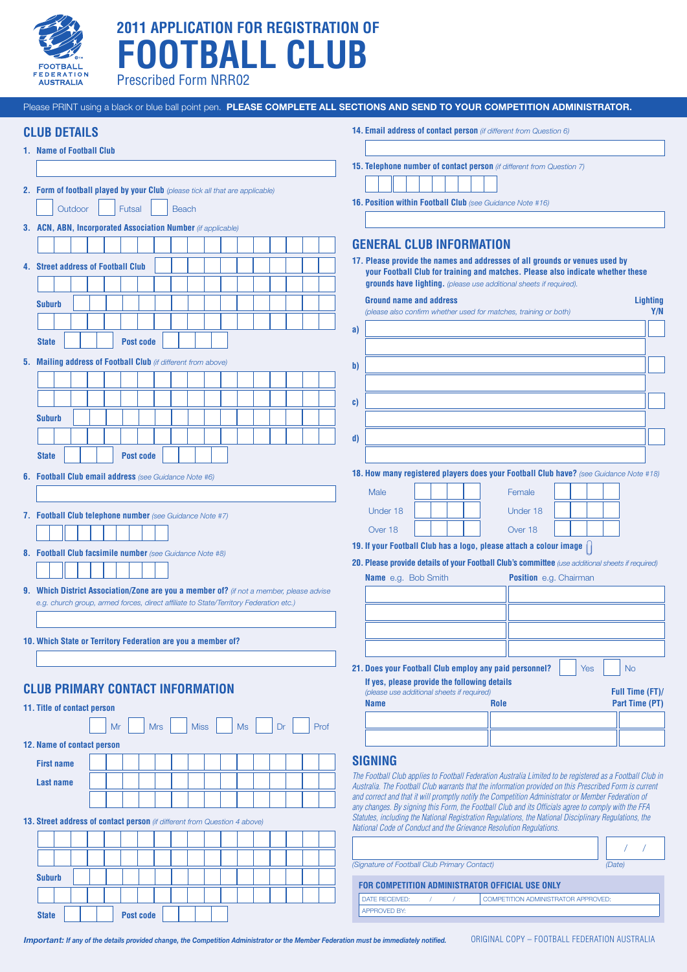

# **2011 APPLICATION FOR REGISTRATION OF FOOTBALL CLUB**

Prescribed Form NRR02

| Please PRINT using a black or blue ball point pen. PLEASE COMPLETE ALL SECTIONS AND SEND TO YOUR COMPETITION ADMINISTRATOR.                                                      |                                                                                                                                                                                                                                      |
|----------------------------------------------------------------------------------------------------------------------------------------------------------------------------------|--------------------------------------------------------------------------------------------------------------------------------------------------------------------------------------------------------------------------------------|
| <b>CLUB DETAILS</b>                                                                                                                                                              | 14. Email address of contact person (if different from Question 6)                                                                                                                                                                   |
| 1. Name of Football Club                                                                                                                                                         |                                                                                                                                                                                                                                      |
|                                                                                                                                                                                  | 15. Telephone number of contact person (if different from Question 7)                                                                                                                                                                |
| 2. Form of football played by your Club (please tick all that are applicable)                                                                                                    | 16. Position within Football Club (see Guidance Note #16)                                                                                                                                                                            |
| Outdoor<br>Futsal<br><b>Beach</b>                                                                                                                                                |                                                                                                                                                                                                                                      |
| 3. ACN, ABN, Incorporated Association Number (if applicable)                                                                                                                     |                                                                                                                                                                                                                                      |
|                                                                                                                                                                                  | <b>GENERAL CLUB INFORMATION</b>                                                                                                                                                                                                      |
| 4. Street address of Football Club                                                                                                                                               | 17. Please provide the names and addresses of all grounds or venues used by<br>your Football Club for training and matches. Please also indicate whether these<br>grounds have lighting. (please use additional sheets if required). |
| <b>Suburb</b>                                                                                                                                                                    | <b>Ground name and address</b><br><b>Lighting</b>                                                                                                                                                                                    |
|                                                                                                                                                                                  | Y/N<br>(please also confirm whether used for matches, training or both)                                                                                                                                                              |
|                                                                                                                                                                                  | a)                                                                                                                                                                                                                                   |
| <b>Post code</b><br><b>State</b>                                                                                                                                                 |                                                                                                                                                                                                                                      |
| 5. Mailing address of Football Club (if different from above)                                                                                                                    | b)                                                                                                                                                                                                                                   |
|                                                                                                                                                                                  |                                                                                                                                                                                                                                      |
|                                                                                                                                                                                  | C)                                                                                                                                                                                                                                   |
| <b>Suburb</b>                                                                                                                                                                    |                                                                                                                                                                                                                                      |
|                                                                                                                                                                                  |                                                                                                                                                                                                                                      |
|                                                                                                                                                                                  | d)                                                                                                                                                                                                                                   |
| <b>State</b><br><b>Post code</b>                                                                                                                                                 |                                                                                                                                                                                                                                      |
| 6. Football Club email address (see Guidance Note #6)                                                                                                                            | 18. How many registered players does your Football Club have? (see Guidance Note #18)                                                                                                                                                |
|                                                                                                                                                                                  | Male<br>Female                                                                                                                                                                                                                       |
| 7. Football Club telephone number (see Guidance Note #7)                                                                                                                         | Under 18<br>Under 18                                                                                                                                                                                                                 |
|                                                                                                                                                                                  | Over 18<br>Over 18                                                                                                                                                                                                                   |
|                                                                                                                                                                                  | 19. If your Football Club has a logo, please attach a colour image                                                                                                                                                                   |
| 8. Football Club facsimile number (see Guidance Note #8)                                                                                                                         | 20. Please provide details of your Football Club's committee (use additional sheets if required)                                                                                                                                     |
|                                                                                                                                                                                  | Name e.g. Bob Smith<br><b>Position</b> e.g. Chairman                                                                                                                                                                                 |
| 9. Which District Association/Zone are you a member of? (if not a member, please advise<br>e.g. church group, armed forces, direct affiliate to State/Territory Federation etc.) |                                                                                                                                                                                                                                      |
|                                                                                                                                                                                  |                                                                                                                                                                                                                                      |
|                                                                                                                                                                                  |                                                                                                                                                                                                                                      |
| 10. Which State or Territory Federation are you a member of?                                                                                                                     |                                                                                                                                                                                                                                      |
|                                                                                                                                                                                  | <b>No</b>                                                                                                                                                                                                                            |
|                                                                                                                                                                                  | 21. Does your Football Club employ any paid personnel?<br><b>Yes</b><br>If yes, please provide the following details                                                                                                                 |
| <b>CLUB PRIMARY CONTACT INFORMATION</b>                                                                                                                                          | Full Time (FT)/<br>(please use additional sheets if required)                                                                                                                                                                        |
| 11. Title of contact person                                                                                                                                                      | Part Time (PT)<br><b>Name</b><br>Role                                                                                                                                                                                                |
| Mr<br>Prof<br><b>Mrs</b><br><b>Miss</b><br><b>Ms</b><br>Dr                                                                                                                       |                                                                                                                                                                                                                                      |
| 12. Name of contact person                                                                                                                                                       |                                                                                                                                                                                                                                      |
| <b>First name</b>                                                                                                                                                                | <b>SIGNING</b>                                                                                                                                                                                                                       |
| <b>Last name</b>                                                                                                                                                                 | The Football Club applies to Football Federation Australia Limited to be registered as a Football Club in                                                                                                                            |
|                                                                                                                                                                                  | Australia. The Football Club warrants that the information provided on this Prescribed Form is current<br>and correct and that it will promptly notify the Competition Administrator or Member Federation of                         |
|                                                                                                                                                                                  | any changes. By signing this Form, the Football Club and its Officials agree to comply with the FFA                                                                                                                                  |
| 13. Street address of contact person (if different from Question 4 above)                                                                                                        | Statutes, including the National Registration Regulations, the National Disciplinary Regulations, the<br>National Code of Conduct and the Grievance Resolution Regulations.                                                          |
|                                                                                                                                                                                  |                                                                                                                                                                                                                                      |
|                                                                                                                                                                                  |                                                                                                                                                                                                                                      |
| <b>Suburb</b>                                                                                                                                                                    | (Signature of Football Club Primary Contact)<br>(Date)                                                                                                                                                                               |
|                                                                                                                                                                                  | FOR COMPETITION ADMINISTRATOR OFFICIAL USE ONLY                                                                                                                                                                                      |
|                                                                                                                                                                                  | <b>DATE RECEIVED:</b><br>COMPETITION ADMINISTRATOR APPROVED:<br>$\prime$<br><b>APPROVED BY:</b>                                                                                                                                      |
| <b>State</b><br>Post code                                                                                                                                                        |                                                                                                                                                                                                                                      |